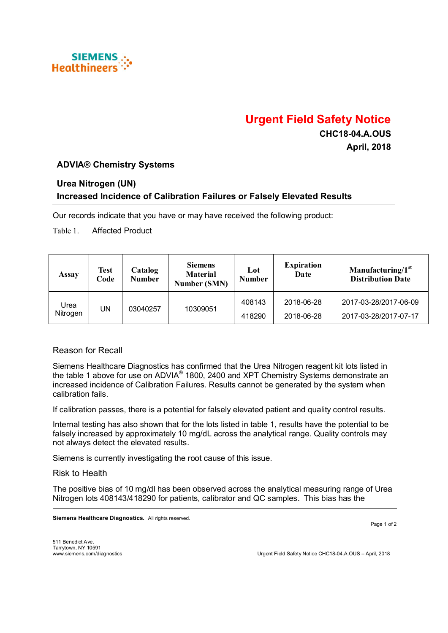

# **Urgent Field Safety Notice**

**CHC18-04.A.OUS April, 2018**

## **ADVIA® Chemistry Systems**

#### **Urea Nitrogen (UN)**

## **Increased Incidence of Calibration Failures or Falsely Elevated Results**

Our records indicate that you have or may have received the following product:

Table 1. Affected Product

| Assay            | <b>Test</b><br>Code | Catalog<br><b>Number</b> | <b>Siemens</b><br><b>Material</b><br><b>Number (SMN)</b> | Lot<br><b>Number</b> | <b>Expiration</b><br>Date | Manufacturing/1 <sup>st</sup><br><b>Distribution Date</b> |
|------------------|---------------------|--------------------------|----------------------------------------------------------|----------------------|---------------------------|-----------------------------------------------------------|
| Urea<br>Nitrogen | UN                  | 03040257                 | 10309051                                                 | 408143               | 2018-06-28                | 2017-03-28/2017-06-09                                     |
|                  |                     |                          |                                                          | 418290               | 2018-06-28                | 2017-03-28/2017-07-17                                     |

#### Reason for Recall

Siemens Healthcare Diagnostics has confirmed that the Urea Nitrogen reagent kit lots listed in the table 1 above for use on ADVIA® 1800, 2400 and XPT Chemistry Systems demonstrate an increased incidence of Calibration Failures. Results cannot be generated by the system when calibration fails.

If calibration passes, there is a potential for falsely elevated patient and quality control results.

Internal testing has also shown that for the lots listed in table 1, results have the potential to be falsely increased by approximately 10 mg/dL across the analytical range. Quality controls may not always detect the elevated results.

Siemens is currently investigating the root cause of this issue.

Risk to Health

The positive bias of 10 mg/dl has been observed across the analytical measuring range of Urea Nitrogen lots 408143/418290 for patients, calibrator and QC samples. This bias has the

**Siemens Healthcare Diagnostics.** All rights reserved.

Page 1 of 2